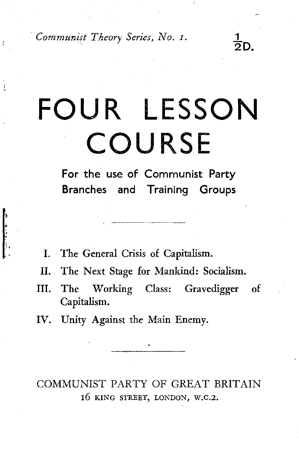*Communist Theory Series, No. 1.* 

# **FOUR LESSON COURSE**

 $\frac{1}{2}$ D.

**For** the use of Communist Party Branches and Training Groups

I. The General Crisis of Capitalism.

f.

- II. The Next Stage for Mankind: Socialism.
- III. The Working Class: Gravedigger of Capitalism.
- IV. Unity Against the Main Enemy.

COMMUNIST PARTY OF GREAT BRITAIN 16 KING STREET, LONDON, W.C.2.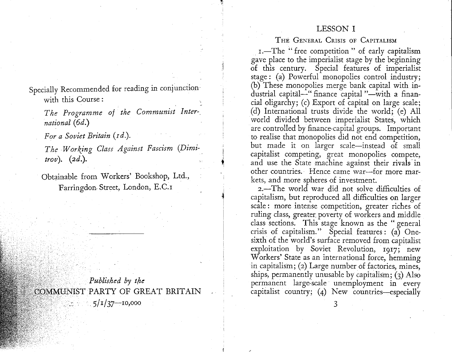### LESSON I

THE GENERAL CRISIS OF CAPITALISM

I.-The "free competition" of early capitalism gave place to the imperialist stage by the beginning of this century. Special features of imperialist stage: (a) Powerful monopolies control industry; (b) These monopolies merge bank capital with industrial capital-" finance capital "-with a financial oligarchy; (c) Export of capital on large scale; (d) International trusts divide the world; (e) All world divided between imperialist States, which are controlled by finance-capital groups. Important to realise that monopolies did not end competition, but made it on larger scale-instead of small capitalist competing, great monopolies compete, and use the State machine against their rivals· in other countries. Hence came war-for more markets, and more spheres of investment.

2.-The world war did not solve difficulties of capitalism, but reproduced all difficulties on larger scale : more intense competition, greater riches of ruling class, greater. poverty of workers and middle class sections. This stage known as the " general crisis of capitalism." Special features: (a) Onesixth of the world's surface removed from capitalist exploitation by Soviet Revolution, 1917; new Workers' State as an international force, hemming in capitalism; (2) Large number of factories, mines, ships, permanently unusable by capitalism; (3) Also permanent large:scale unemployment in every capitalist country;  $(4)$  New countries-especially

Specially Recommended for reading in conjunction with this Course :

*The Programme of the Communist International* (6d.)

*For a Soviet Britain* (rd.).

*The Working Class Against Fascism (Dimi-. trov).* (2d.).

Obtainable from Workers' Bookshop, Ltd., Farringdon. Street, London, E.C.1

*Published by the* COMMUNIST PARTY OF GREAT BRITAIN  $5/1/37 - 10,000$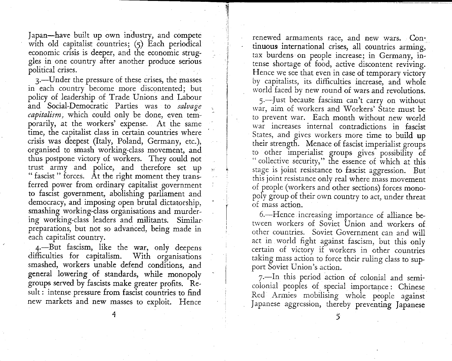Japan-have built up own industry, and compete with old capitalist countries;  $(5)$  Each periodical economic crisis is deeper, and the economic struggles in one country after another produce serious political crises.

3.-Under the pressure of these crises, the masses in each country become more discontented; but policy of leadership of Trade Unions and Labour and Social-Democratic Parties was to *salvage capitalism,* which could only be done, even temporarily, at the workers' expense. At the same time, the capitalist class in certain countries where crisis was deepest (Italy, Poland, Germany, etc.), organised to smash working-class movement, and thus, postpone victory of workers. They could not trust army and police, and therefore set up " fascist " forces. At the right moment they transferred power from ordinary capitalist government to fascist government, abolishing parliament and democracy, and imposing open brutal dictatorship, smashing working-class organisations and murdering working-class leaders and militants. Similarpreparations, but not so advanced, being made in each capitalist country.

4.-But fascism, like the war, only deepens difficulties for capitalism. With organisations smashed, workers unable defend conditions, and general lowering of standards, while monopoly groups served by fascists make greater profits. Result : intense pressure from fascist countries to find new markets and new masses to exploit. Hence renewed armaments race, and new wars. Continuous international crises, all countries arming, tax burdens on people increase; in Germany, intense shortage of food, active discontent reviving. Hence we see that even in case of temporary victory by capitalists, its difficulties increase, and whole world faced by new round of wars and revolutions.

5.-Just because fascism can't carry on without war, aim of workers and Workers' State must be to prevent war. Each month without new world war increases internal contradictions in fascist States, and gives workers more time to build up their strength. Menace of fascist imperialist groups to other imperialist groups gives possibility of " collective security," the essence of which at this stage is joint resistance to fascist aggression. But this joint resistance only real where mass movement of people (workers and other sections) forces monopoly group of their own country to act, under threat of mass action.

6.-Hence increasing importance of alliance between workers of Soviet Union and workers of other countries. Soviet Government can and will act in world fight against fascism, but this only certain of victorv if workers in other countries taking mass action to force their ruling class to support Soviet Union's action.

7.-In this period action of colonial and semicolonial peoples of special importance : Chinese Red Armies mobilising whole people against Japanese aggression, thereby preventing Japanese

4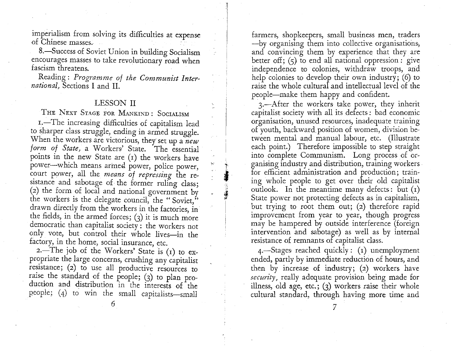imperialism from solving its difficulties at expense of Chinese masses. ·

8.-Success of Soviet Union in building Socialism encourages masses to take revolutionary road when fascism threatens.

Reading: *Programme of the Communist International,* Sections I and II.

## LESSON II

THE NEXT STAGE FOR MANKIND: SOCIALISM

1.-The increasing difficulties of capitalism lead to sharper class struggle, ending in armed struggle. When the workers are victorious, they set up a *new*  form of State, a Workers' State. The essential points in the new State are (1) the workers have power-which means armed power, police power, court power, all the *means of repressing* the resistance and sabotage of the former ruling class; (2) the form of local and national government by the workers is the delegate council, the "Soviet," drawn directly from the workers in the factories, in the fields, in the armed forces;  $(3)$  it is much more democratic than capitalist society: the workers not only vote, but control their whole lives-in the factory, in the home, social insurance, etc.

2.-The job of the Workers' State is  $(1)$  to expropriate the large concerns, crushing any capitalist resistance; (2) to use all productive resources to raise the standard of the people; (3) to plan production and distribution in the interests of the people; (4) to win the small capitalists-small

farmers, shopkeepers, small business men, traders -by organising them into collective organisations, and convincing them by experience that they are better off;  $(5)$  to end all national oppression : give independence to colonies, withdraw troops, and help colonies to develop their own industry;  $(6)$  to raise the whole cultural and intellectual level of the people-make them happy and confident.

3.-After the workers take power, they inherit capitalist society with all its defects: bad economic organisation, unused resources, inadequate training of youth, backward position of women, division between mental and manual labour, etc. (Illustrate each point.) Therefore impossible to step straight into complete Communism. Long process of organising industry and distribution, training workers . for efficient administration and production; training whole people to get over their old capitalist outlook. In the meantime many defects: but  $(i)$ State power not protecting defects as in capitalism, but trying to root them out; (2) therefore rapid improvement from year to year, though progress may be hampered by outside interference (foreign intervention and sabotage) as well as by internal resistance of remnants of capitalist class.

't  $\frac{1}{2}$ 

1. 年春日

I I

> $4$ -Stages reached quickly: (1) unemployment ended, partly by immediate reduction of hours, and then by increase of industry; (2) workers have *security,* really adequate provision being made for illness, old age, etc.;  $(3)$  workers raise their whole cultural standard, through having more time and

6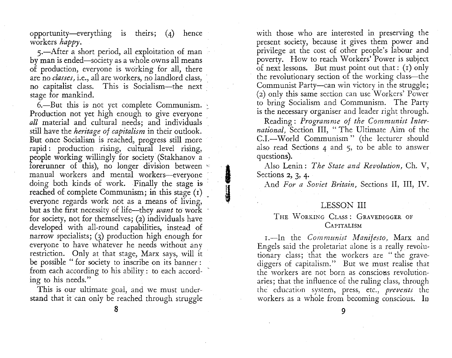opportunity-everything is theirs; (4) hence workers *happy.* 

5.-After a short period, all exploitation of man by man is ended-society as a whole owns all means of production, everyone is working for all, there are no *classes,* i.e., all are workers, no landlord class, no capitalist class. This is Socialism-the next stage for mankind.

6.-But this is not yet complete Communism. Production not yet high enough to give everyone *all* material and cultural needs; and individuals still have the *heritage of capitalism* in their outlook. But once Socialism is reached, progress still more rapid : production rising, cultural level rising, people working willingly for society (Stakhanov a forerunner of this), no longer division between  $\leq$ manual workers and mental workers-everyone doing both kinds of work. Finally the stage is reached of complete Communism; in this stage (1) everyone regards work not as a means of living, but as the first necessity of life-they *want* to work for society, not for themselves; (2) individuals have developed with all-round capabilities, instead of narrow specialists; (3) production high enough for everyone to have whatever he needs without any restriction. Only at that stage, Marx says, will it be possible " for society to inscribe on its banner : from each according to his ability : to each according to his needs."

This is our ultimate goai, and we must understand that it can only be reached through struggle with those who are interested in preserving the present society, because it gives them power and privilege at the cost of other people's labour and poverty. How to reach Workers' Power is subject of next lessons. But must point out that: (1) only the revolutionary section of the working class-the Communist Party-can win victory in the struggle; (2) only this same section can use Workers' Power to bring Socialism and Communism. The Party is the necessary organiser and leader right through.

Reading: *Programme of the Communist International,* Section III, "The Ultimate Aim of the C.1.-World Communism" (the lecturer should also read Sections 4 and 5, to be able to answer questions).

Also Lenin: *The State and Revolution,* Ch. V, Sections 2, 3, 4.

**I** 

tle for the second second second second second second second second second second second second second second second second second second second second second second second second second second second second second second

And *For a Soviet Britain,* Sections II, III, IV.

# LESSON III

### THE WoRKIKG CLASS: GRAVEDIGGER OF **CAPITALISM**

r.-In the *Communist Manifesto,* Marx and Engels said the proletariat alone is a really revolutionary class; that the workers are "the gravediggers of capitalism." But we must realise that the workers are not born as conscions revolutionaries; that the influence of the ruling class, through the education system, press, etc., *prevents* the workers as a whole from becoming conscious. In

8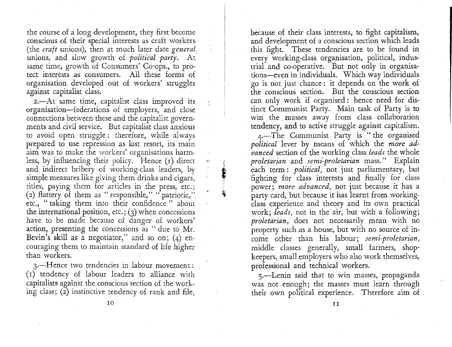the course of a long development, they first become conscious of their special interests as craft workers (the *craft* unions), then at much later date *general*  unions, and slow growth of *political party.* At same time, growth of Consumers' Co-ops., to protect interests as consumers. All these forms of organisation developed out of workers' struggles against capitalist class.

2.-At same time, capitalist class improved its organisation-federations of employers, and close connections between these and the capitalist governments and civil service. But capitalist class anxious to avoid open struggle: therefore, while always prepared to use repression as last resort, its main aim was to make the workers' organisations harmless, by influencing their policy. Hence  $(i)$  direct and indirect bribery of working-class leaders, by simple measures like giving them drinks and cigars, titles, paying them for articles in the press, etc.; (2) flattery of them as "responsible," "patriotic," etc., " taking them into their confidence " about the international position, etc.;  $(3)$  when concessions have to be made because of danger of workers' action, presenting the concessions as " due to Mr. Bevin's skill as a negotiator," and so on; (4) encouraging them to maintain standard of life higher than workers.

af. the second control of the second control of the second control of the second control of the second control of the second control of the second control of the second control of the second control of the second control of th I  $\ddot{\ddot{\textbf{z}}}$ 

 $\pm\varepsilon$ 

3.-Hence two tendencies in labour movement: (I) tendency of labour leaders to alliance with capitalists against the conscious section of the working class;  $(2)$  instinctive tendency of rank and file,

because of their class interests, to fight capitalism, and development of a conscious section which leads this fight. These tendencies are to be found in every working-class organisation, political, industrial and co-operative. But not only in organisations-even in individuals. Which way individuals go is not just chance : it depends on the work of the conscious section. But the conscious section can only work if organised: hence need for distinct Communist Party. Main task of Party is to win the masses away from class· collaboration tendency, and to active struggle against capitalism.

4.-The Communist Party is " the organised *political* lever by means of which the *more advanced* section of the working class *leads* the whole *proletarian* and *semi-proletarian* mass." Explain each term: *political,* not just parliamentary, but fighting for class interests and finally for class power; *more advanced,* not just because it has a party card, but because it has learnt from workingclass experience and theory and its own practical work; *leads,* not in the air, but with a following; *proletarian,* does not necessarily mean with no property such as a house, but with no source of income other than his labour; *semi-proletarian,*  middle classes generally, small farmers, shopkeepers, small employers who also work themselves, professional and technical workers.

5.-Lenin said that to win masses, propaganda was not enough; the masses must learn through their own political experience. Therefore aim of

IO

II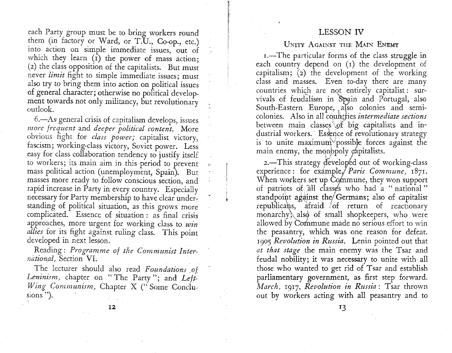# LESSON IV

each Party group must be to bring workers round them (in factory or Ward, or T.U., Co-op., etc.) into action on simple immediate issues, out of which they learn  $(\bar{r})$  the power of mass action; (2) the class opposition of the capitalists. But must never *limit* fight to simple immediate issues; must also try to bring them into action on political issues of general character; otherwise no political development towards not only militancy, but revolutionary outlook.

6.-As general crisis of capitalism develops, issues *more frequent* and *deeper political content.* More obvious fight for *class power;* capitalist victory, fascism; working-class victory, Soviet power. Less easy for class collaboration tendency to justify itself to workers; its main aim in this period to prevent mass political action (unemployment, Spain). But masses more ready to follow conscious section, and rapid increase in Party in every country. Especially necessary for Party membership to have clear understanding of political situation, as this grows more complicated. Essence of situation : as final crisis approaches, more urgent for working class to *win allies* for its fight against ruling class. This point developed in next lesson.

Reading: *Programme of the Communist International,* Section VI.

The lecturer should also read *Foundations \_of*  Leninism, chapter on "The Party"; and Left-*Wing Communism,* Chapter X ("Some Conclusions").

### UNITY AGAINST THE MAIN ENEMY

1.-The particular forms of the class struggle in each country depend on (1) the development of capitalism; (2) the development of the working class and masses. Even to-day there are many countries which are not entirely capitalist: survivals of feudalism in Spain and Portugal, also South-Eastern Europe, *,i(so* colonies and semicolonies. Also in all countries *intermediate sections* between main classes of big capitalists and industrial workers. Essence of revolutionary strategy is to unite maximum<sup>3</sup> possible forces against the main enemy, the monopoly capitalists.

2.- This strategy developed out of working-class. experience: for example, *Paris Commune*, 1871. When workers set up Commune, they won support of patriots of all classes who had a "national" standpoint against the Germans; also of capitalist republicans, atraid of return of reactionary monarchy, also of small shopkeepers, who were allowed by Commune made no serious effort to win the peasantry, which was one reason for defeat. 1905 *Revolution in Russia.* Lenin pointed out that *at that stage* the main enemy was the Tsar and feudal nobility; it was necessary to unite with all those who wanted to get rid of Tsar and establish parliamentary government, as first step forward. *March,* 1917, *Revolution in Russia:* Tsar thrown out by workers acting with all peasantry and to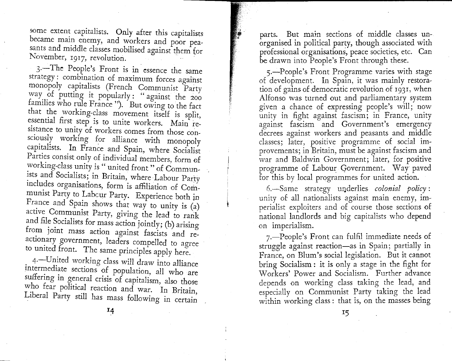some extent capitalists. Only after this capitalists became main enemy, and workers and poor peasants and middle classes mobilised against them for November, 1917, revolution.

3.<sup>-The</sup> People's Front is in essence the same strategy : combination of maximum forces against monopoly capitalists (French Communist Party way of putting it popularly : " against the 200 families who rule France"). But owing to the fact that the working-class movement itself is split, essential first step is to unite workers. Main resistance to unity of workers comes from those consciously working for alliance with monopoly capitalists. In France and Spain, where Socialist Parties consist only of individual members, form of working-class unity is" united front" of Commun ists and Socialists; in Britain, where Labour Party includes organisations, form is affiliation of Communist Party to Labcur Party. Experience both in France and Spain shows that way to unity is (a) active Commumst Party, giving the lead to rarik and file Socialists for mass action jointly; (b) arising from joint mass action against fascists and reactionary government, leaders compelled to agree to umted front. The same principles apply here.

4.-United working class will draw into alliance intermediate sections of population, all who are suffering in general crisis of capitalism, also those who fear political reaction and war. In Britain Liberal Party still has mass following in certain

parts. But main sections of middle classes unorganised in political party, though associated with professional organisations, peace societies, etc. Can be drawn into People's Front through these.

5.-People's Front Programme varies with stage of development. In Spain, it was mainly restoration of galns of democratic revolution of 1931, when Alfonso was turned out and parliamentary system given a chance of expressing people's will; now unity in fight against fascism; in France, unity against fascism and Government's emergency decrees against workers and peasants and middle classes; later, positive programme of social improvements; in Britain, must be against fascism\_a?d war and Baldwin Government; later, for positive programme of Labour Government. Way paved for this by local programmes for umted action.

6.-Same strategy u11derlies *colonial policy* : unity of all nationalists against main enemy, imperialist exploiters and of course those sections of national landlords and big capitalists who depend on imperialism.

 $7.$ -People's Front can fulfil immediate needs of struggle against reaction-as in Spain; partially in France, on Blum's social legislation. But it cannot bring Socialism : it is only a stage in the fight for \V orkers' Power and Socialism. Further advance depends on working class taking the lead, and especially on Communist Party taking the lead within working class: that is, on the masses being

r4